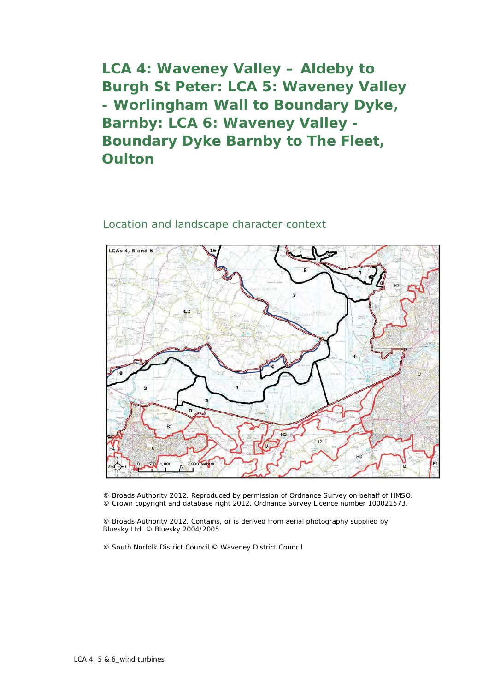**LCA 4: Waveney Valley – Aldeby to Burgh St Peter: LCA 5: Waveney Valley - Worlingham Wall to Boundary Dyke, Barnby: LCA 6: Waveney Valley - Boundary Dyke Barnby to The Fleet, Oulton**

## Location and landscape character context



© Broads Authority 2012. Reproduced by permission of Ordnance Survey on behalf of HMSO. © Crown copyright and database right 2012. Ordnance Survey Licence number 100021573.

© Broads Authority 2012. Contains, or is derived from aerial photography supplied by Bluesky Ltd. © Bluesky 2004/2005

© South Norfolk District Council © Waveney District Council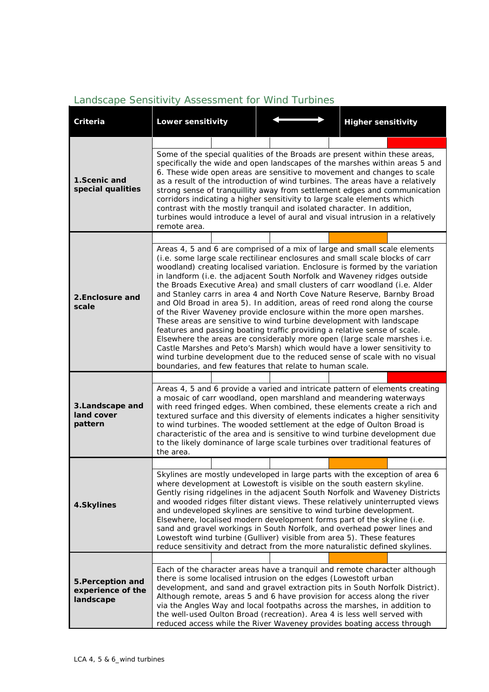## *Landscape Sensitivity Assessment for Wind Turbines*

| Criteria                                            | <b>Lower sensitivity</b>                                                                                                                                                                                                                                                                                                                                                                                                                                                                                                                                                                                                                                                                                                                                                                                                                                                                                                                                                                                                                                                                  |                                                                 | <b>Higher sensitivity</b>                                                                                                                                                                                                                                                                                                                                                                                                                                                |  |  |  |
|-----------------------------------------------------|-------------------------------------------------------------------------------------------------------------------------------------------------------------------------------------------------------------------------------------------------------------------------------------------------------------------------------------------------------------------------------------------------------------------------------------------------------------------------------------------------------------------------------------------------------------------------------------------------------------------------------------------------------------------------------------------------------------------------------------------------------------------------------------------------------------------------------------------------------------------------------------------------------------------------------------------------------------------------------------------------------------------------------------------------------------------------------------------|-----------------------------------------------------------------|--------------------------------------------------------------------------------------------------------------------------------------------------------------------------------------------------------------------------------------------------------------------------------------------------------------------------------------------------------------------------------------------------------------------------------------------------------------------------|--|--|--|
|                                                     |                                                                                                                                                                                                                                                                                                                                                                                                                                                                                                                                                                                                                                                                                                                                                                                                                                                                                                                                                                                                                                                                                           |                                                                 |                                                                                                                                                                                                                                                                                                                                                                                                                                                                          |  |  |  |
| 1.Scenic and<br>special qualities                   | Some of the special qualities of the Broads are present within these areas,<br>specifically the wide and open landscapes of the marshes within areas 5 and<br>6. These wide open areas are sensitive to movement and changes to scale<br>as a result of the introduction of wind turbines. The areas have a relatively<br>strong sense of tranquillity away from settlement edges and communication<br>corridors indicating a higher sensitivity to large scale elements which<br>contrast with the mostly tranquil and isolated character. In addition,<br>turbines would introduce a level of aural and visual intrusion in a relatively<br>remote area.                                                                                                                                                                                                                                                                                                                                                                                                                                |                                                                 |                                                                                                                                                                                                                                                                                                                                                                                                                                                                          |  |  |  |
|                                                     |                                                                                                                                                                                                                                                                                                                                                                                                                                                                                                                                                                                                                                                                                                                                                                                                                                                                                                                                                                                                                                                                                           |                                                                 |                                                                                                                                                                                                                                                                                                                                                                                                                                                                          |  |  |  |
| 2. Enclosure and<br>scale                           | Areas 4, 5 and 6 are comprised of a mix of large and small scale elements<br>(i.e. some large scale rectilinear enclosures and small scale blocks of carr<br>woodland) creating localised variation. Enclosure is formed by the variation<br>in landform (i.e. the adjacent South Norfolk and Waveney ridges outside<br>the Broads Executive Area) and small clusters of carr woodland (i.e. Alder<br>and Stanley carrs in area 4 and North Cove Nature Reserve, Barnby Broad<br>and Old Broad in area 5). In addition, areas of reed rond along the course<br>of the River Waveney provide enclosure within the more open marshes.<br>These areas are sensitive to wind turbine development with landscape<br>features and passing boating traffic providing a relative sense of scale.<br>Elsewhere the areas are considerably more open (large scale marshes i.e.<br>Castle Marshes and Peto's Marsh) which would have a lower sensitivity to<br>wind turbine development due to the reduced sense of scale with no visual<br>boundaries, and few features that relate to human scale. |                                                                 |                                                                                                                                                                                                                                                                                                                                                                                                                                                                          |  |  |  |
|                                                     |                                                                                                                                                                                                                                                                                                                                                                                                                                                                                                                                                                                                                                                                                                                                                                                                                                                                                                                                                                                                                                                                                           |                                                                 |                                                                                                                                                                                                                                                                                                                                                                                                                                                                          |  |  |  |
| 3.Landscape and<br>land cover<br>pattern            | Areas 4, 5 and 6 provide a varied and intricate pattern of elements creating<br>a mosaic of carr woodland, open marshland and meandering waterways<br>with reed fringed edges. When combined, these elements create a rich and<br>textured surface and this diversity of elements indicates a higher sensitivity<br>to wind turbines. The wooded settlement at the edge of Oulton Broad is<br>characteristic of the area and is sensitive to wind turbine development due<br>to the likely dominance of large scale turbines over traditional features of<br>the area.                                                                                                                                                                                                                                                                                                                                                                                                                                                                                                                    |                                                                 |                                                                                                                                                                                                                                                                                                                                                                                                                                                                          |  |  |  |
|                                                     |                                                                                                                                                                                                                                                                                                                                                                                                                                                                                                                                                                                                                                                                                                                                                                                                                                                                                                                                                                                                                                                                                           |                                                                 |                                                                                                                                                                                                                                                                                                                                                                                                                                                                          |  |  |  |
| 4.Skylines                                          | Skylines are mostly undeveloped in large parts with the exception of area 6<br>where development at Lowestoft is visible on the south eastern skyline.<br>Gently rising ridgelines in the adjacent South Norfolk and Waveney Districts<br>and wooded ridges filter distant views. These relatively uninterrupted views<br>and undeveloped skylines are sensitive to wind turbine development.<br>Elsewhere, localised modern development forms part of the skyline (i.e.<br>sand and gravel workings in South Norfolk, and overhead power lines and<br>Lowestoft wind turbine (Gulliver) visible from area 5). These features<br>reduce sensitivity and detract from the more naturalistic defined skylines.                                                                                                                                                                                                                                                                                                                                                                              |                                                                 |                                                                                                                                                                                                                                                                                                                                                                                                                                                                          |  |  |  |
|                                                     |                                                                                                                                                                                                                                                                                                                                                                                                                                                                                                                                                                                                                                                                                                                                                                                                                                                                                                                                                                                                                                                                                           |                                                                 |                                                                                                                                                                                                                                                                                                                                                                                                                                                                          |  |  |  |
| 5. Perception and<br>experience of the<br>landscape |                                                                                                                                                                                                                                                                                                                                                                                                                                                                                                                                                                                                                                                                                                                                                                                                                                                                                                                                                                                                                                                                                           | there is some localised intrusion on the edges (Lowestoft urban | Each of the character areas have a tranquil and remote character although<br>development, and sand and gravel extraction pits in South Norfolk District).<br>Although remote, areas 5 and 6 have provision for access along the river<br>via the Angles Way and local footpaths across the marshes, in addition to<br>the well-used Oulton Broad (recreation). Area 4 is less well served with<br>reduced access while the River Waveney provides boating access through |  |  |  |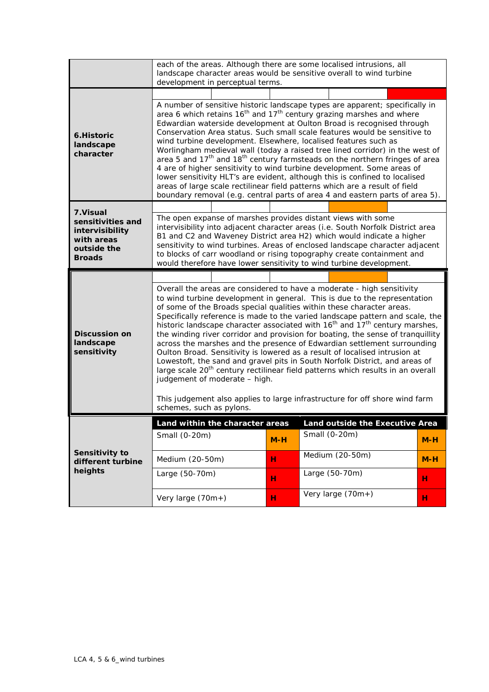|                                                                                                 | each of the areas. Although there are some localised intrusions, all<br>landscape character areas would be sensitive overall to wind turbine<br>development in perceptual terms.                                                                                                                                                                                                                                                                                                                                                                                                                                                                                                                                                                                                                                                                                                                                                                                                           |        |                                                  |        |  |
|-------------------------------------------------------------------------------------------------|--------------------------------------------------------------------------------------------------------------------------------------------------------------------------------------------------------------------------------------------------------------------------------------------------------------------------------------------------------------------------------------------------------------------------------------------------------------------------------------------------------------------------------------------------------------------------------------------------------------------------------------------------------------------------------------------------------------------------------------------------------------------------------------------------------------------------------------------------------------------------------------------------------------------------------------------------------------------------------------------|--------|--------------------------------------------------|--------|--|
| 6. Historic<br>landscape<br>character                                                           | A number of sensitive historic landscape types are apparent; specifically in<br>area 6 which retains $16th$ and $17th$ century grazing marshes and where<br>Edwardian waterside development at Oulton Broad is recognised through<br>Conservation Area status. Such small scale features would be sensitive to<br>wind turbine development. Elsewhere, localised features such as<br>Worlingham medieval wall (today a raised tree lined corridor) in the west of<br>area 5 and 17 <sup>th</sup> and 18 <sup>th</sup> century farmsteads on the northern fringes of area<br>4 are of higher sensitivity to wind turbine development. Some areas of<br>lower sensitivity HLT's are evident, although this is confined to localised<br>areas of large scale rectilinear field patterns which are a result of field<br>boundary removal (e.g. central parts of area 4 and eastern parts of area 5).                                                                                           |        |                                                  |        |  |
| 7. Visual<br>sensitivities and<br>intervisibility<br>with areas<br>outside the<br><b>Broads</b> | The open expanse of marshes provides distant views with some<br>intervisibility into adjacent character areas (i.e. South Norfolk District area<br>B1 and C2 and Waveney District area H2) which would indicate a higher<br>sensitivity to wind turbines. Areas of enclosed landscape character adjacent<br>to blocks of carr woodland or rising topography create containment and<br>would therefore have lower sensitivity to wind turbine development.                                                                                                                                                                                                                                                                                                                                                                                                                                                                                                                                  |        |                                                  |        |  |
| <b>Discussion on</b><br>landscape<br>sensitivity                                                | Overall the areas are considered to have a moderate - high sensitivity<br>to wind turbine development in general. This is due to the representation<br>of some of the Broads special qualities within these character areas.<br>Specifically reference is made to the varied landscape pattern and scale, the<br>historic landscape character associated with 16 <sup>th</sup> and 17 <sup>th</sup> century marshes,<br>the winding river corridor and provision for boating, the sense of tranquillity<br>across the marshes and the presence of Edwardian settlement surrounding<br>Oulton Broad. Sensitivity is lowered as a result of localised intrusion at<br>Lowestoft, the sand and gravel pits in South Norfolk District, and areas of<br>large scale 20 <sup>th</sup> century rectilinear field patterns which results in an overall<br>judgement of moderate - high.<br>This judgement also applies to large infrastructure for off shore wind farm<br>schemes, such as pylons. |        |                                                  |        |  |
| Sensitivity to<br>different turbine<br>heights                                                  | Land within the character areas<br>Small (0-20m)                                                                                                                                                                                                                                                                                                                                                                                                                                                                                                                                                                                                                                                                                                                                                                                                                                                                                                                                           | $M-H$  | Land outside the Executive Area<br>Small (0-20m) | $M-H$  |  |
|                                                                                                 | Medium (20-50m)<br>Large (50-70m)                                                                                                                                                                                                                                                                                                                                                                                                                                                                                                                                                                                                                                                                                                                                                                                                                                                                                                                                                          | н      | Medium (20-50m)<br>Large (50-70m)                | $M-H$  |  |
|                                                                                                 | Very large (70m+)                                                                                                                                                                                                                                                                                                                                                                                                                                                                                                                                                                                                                                                                                                                                                                                                                                                                                                                                                                          | н<br>н | Very large $(70m+)$                              | н<br>н |  |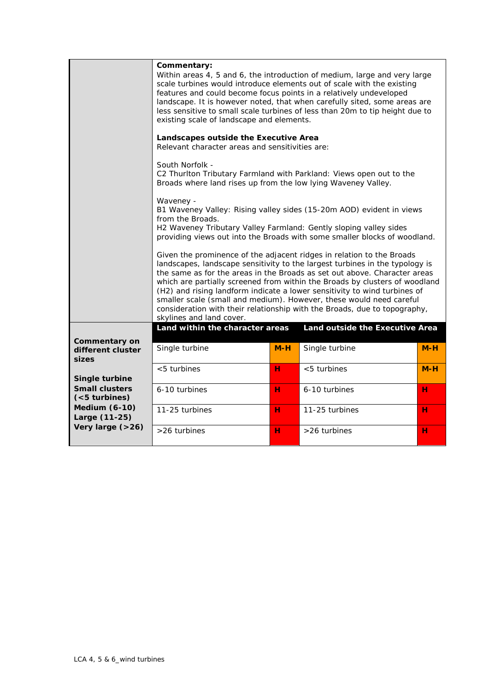|                                                    | Commentary:<br>Within areas 4, 5 and 6, the introduction of medium, large and very large<br>scale turbines would introduce elements out of scale with the existing<br>features and could become focus points in a relatively undeveloped<br>landscape. It is however noted, that when carefully sited, some areas are<br>less sensitive to small scale turbines of less than 20m to tip height due to<br>existing scale of landscape and elements.                                                                                                                             |       |                                 |       |  |  |
|----------------------------------------------------|--------------------------------------------------------------------------------------------------------------------------------------------------------------------------------------------------------------------------------------------------------------------------------------------------------------------------------------------------------------------------------------------------------------------------------------------------------------------------------------------------------------------------------------------------------------------------------|-------|---------------------------------|-------|--|--|
|                                                    | Landscapes outside the Executive Area<br>Relevant character areas and sensitivities are:                                                                                                                                                                                                                                                                                                                                                                                                                                                                                       |       |                                 |       |  |  |
|                                                    | South Norfolk -<br>C2 Thurlton Tributary Farmland with Parkland: Views open out to the<br>Broads where land rises up from the low lying Waveney Valley.                                                                                                                                                                                                                                                                                                                                                                                                                        |       |                                 |       |  |  |
|                                                    | Waveney -<br>B1 Waveney Valley: Rising valley sides (15-20m AOD) evident in views<br>from the Broads.<br>H2 Waveney Tributary Valley Farmland: Gently sloping valley sides<br>providing views out into the Broads with some smaller blocks of woodland.                                                                                                                                                                                                                                                                                                                        |       |                                 |       |  |  |
|                                                    | Given the prominence of the adjacent ridges in relation to the Broads<br>landscapes, landscape sensitivity to the largest turbines in the typology is<br>the same as for the areas in the Broads as set out above. Character areas<br>which are partially screened from within the Broads by clusters of woodland<br>(H2) and rising landform indicate a lower sensitivity to wind turbines of<br>smaller scale (small and medium). However, these would need careful<br>consideration with their relationship with the Broads, due to topography,<br>skylines and land cover. |       |                                 |       |  |  |
|                                                    | Land within the character areas                                                                                                                                                                                                                                                                                                                                                                                                                                                                                                                                                |       | Land outside the Executive Area |       |  |  |
| <b>Commentary on</b><br>different cluster<br>sizes | Single turbine                                                                                                                                                                                                                                                                                                                                                                                                                                                                                                                                                                 | $M-H$ | Single turbine                  | $M-H$ |  |  |
| Single turbine                                     | $< 5$ turbines                                                                                                                                                                                                                                                                                                                                                                                                                                                                                                                                                                 | н     | $< 5$ turbines                  | $M-H$ |  |  |
| <b>Small clusters</b><br>$(5$ turbines)            | 6-10 turbines                                                                                                                                                                                                                                                                                                                                                                                                                                                                                                                                                                  | н     | 6-10 turbines                   | н     |  |  |
| <b>Medium (6-10)</b><br>Large (11-25)              | 11-25 turbines                                                                                                                                                                                                                                                                                                                                                                                                                                                                                                                                                                 | н     | 11-25 turbines                  | н     |  |  |
| Very large (>26)                                   | >26 turbines                                                                                                                                                                                                                                                                                                                                                                                                                                                                                                                                                                   | н     | >26 turbines                    | н     |  |  |